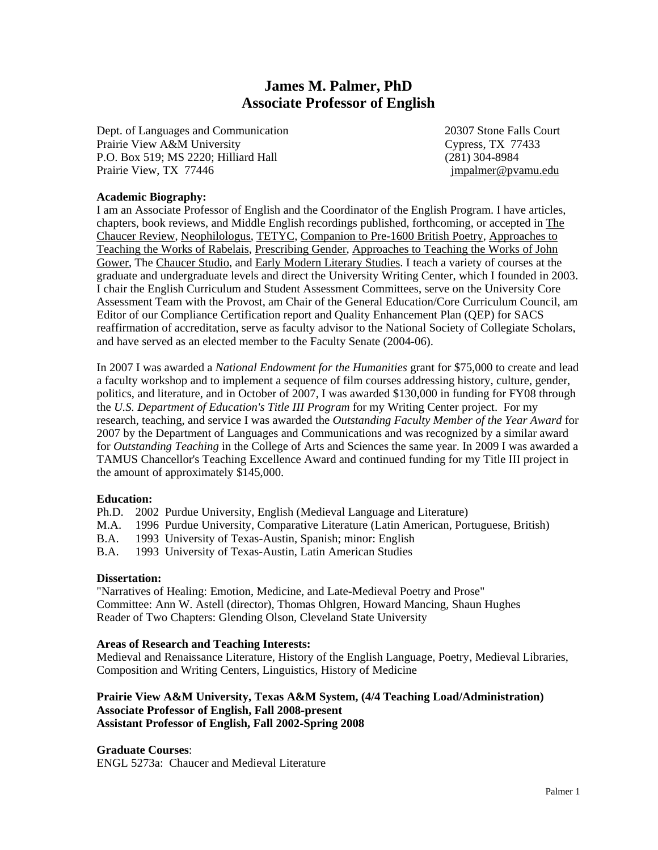# **James M. Palmer, PhD Associate Professor of English**

Dept. of Languages and Communication 20307 Stone Falls Court Prairie View A&M University Cypress, TX 77433 P.O. Box 519; MS 2220; Hilliard Hall (281) 304-8984 Prairie View, TX 77446 **june 1998** and the settlement of the settlement of the settlement of the settlement of the settlement of the settlement of the settlement of the settlement of the settlement of the settlement of the

## **Academic Biography:**

I am an Associate Professor of English and the Coordinator of the English Program. I have articles, chapters, book reviews, and Middle English recordings published, forthcoming, or accepted in The Chaucer Review, Neophilologus, TETYC, Companion to Pre-1600 British Poetry, Approaches to Teaching the Works of Rabelais, Prescribing Gender, Approaches to Teaching the Works of John Gower, The Chaucer Studio, and Early Modern Literary Studies. I teach a variety of courses at the graduate and undergraduate levels and direct the University Writing Center, which I founded in 2003. I chair the English Curriculum and Student Assessment Committees, serve on the University Core Assessment Team with the Provost, am Chair of the General Education/Core Curriculum Council, am Editor of our Compliance Certification report and Quality Enhancement Plan (QEP) for SACS reaffirmation of accreditation, serve as faculty advisor to the National Society of Collegiate Scholars, and have served as an elected member to the Faculty Senate (2004-06).

In 2007 I was awarded a *National Endowment for the Humanities* grant for \$75,000 to create and lead a faculty workshop and to implement a sequence of film courses addressing history, culture, gender, politics, and literature, and in October of 2007, I was awarded \$130,000 in funding for FY08 through the *U.S. Department of Education's Title III Program* for my Writing Center project. For my research, teaching, and service I was awarded the *Outstanding Faculty Member of the Year Award* for 2007 by the Department of Languages and Communications and was recognized by a similar award for *Outstanding Teaching* in the College of Arts and Sciences the same year. In 2009 I was awarded a TAMUS Chancellor's Teaching Excellence Award and continued funding for my Title III project in the amount of approximately \$145,000.

#### **Education:**

- Ph.D. 2002 Purdue University, English (Medieval Language and Literature)
- M.A. 1996 Purdue University, Comparative Literature (Latin American, Portuguese, British)
- B.A. 1993 University of Texas-Austin, Spanish; minor: English
- B.A. 1993 University of Texas-Austin, Latin American Studies

#### **Dissertation:**

"Narratives of Healing: Emotion, Medicine, and Late-Medieval Poetry and Prose" Committee: Ann W. Astell (director), Thomas Ohlgren, Howard Mancing, Shaun Hughes Reader of Two Chapters: Glending Olson, Cleveland State University

## **Areas of Research and Teaching Interests:**

Medieval and Renaissance Literature, History of the English Language, Poetry, Medieval Libraries, Composition and Writing Centers, Linguistics, History of Medicine

# **Prairie View A&M University, Texas A&M System, (4/4 Teaching Load/Administration) Associate Professor of English, Fall 2008-present Assistant Professor of English, Fall 2002-Spring 2008**

#### **Graduate Courses**:

ENGL 5273a: Chaucer and Medieval Literature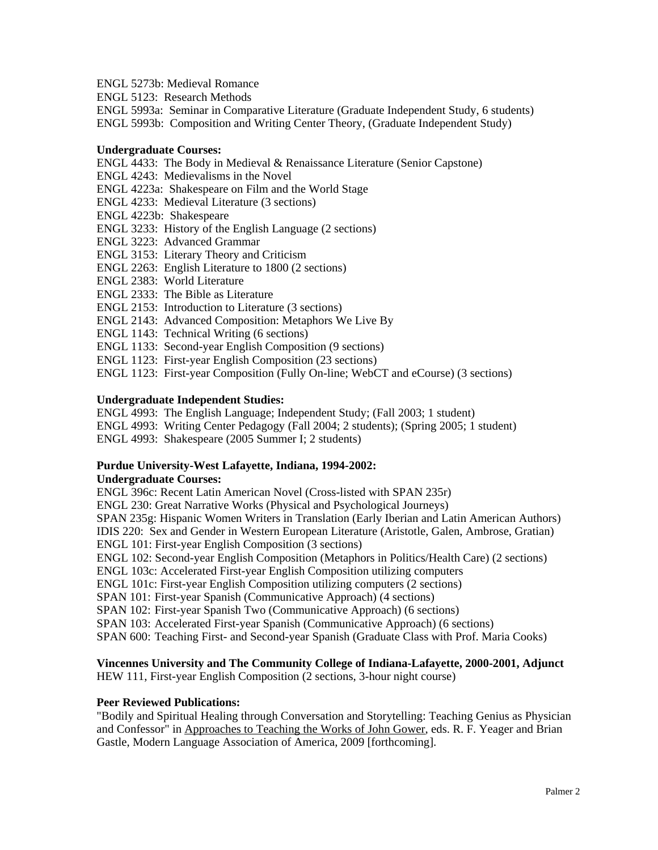ENGL 5273b: Medieval Romance

ENGL 5123: Research Methods

ENGL 5993a: Seminar in Comparative Literature (Graduate Independent Study, 6 students)

ENGL 5993b: Composition and Writing Center Theory, (Graduate Independent Study)

#### **Undergraduate Courses:**

ENGL 4433: The Body in Medieval & Renaissance Literature (Senior Capstone)

ENGL 4243: Medievalisms in the Novel

ENGL 4223a: Shakespeare on Film and the World Stage

ENGL 4233: Medieval Literature (3 sections)

- ENGL 4223b: Shakespeare
- ENGL 3233: History of the English Language (2 sections)
- ENGL 3223: Advanced Grammar
- ENGL 3153: Literary Theory and Criticism
- ENGL 2263: English Literature to 1800 (2 sections)
- ENGL 2383: World Literature
- ENGL 2333: The Bible as Literature
- ENGL 2153: Introduction to Literature (3 sections)
- ENGL 2143: Advanced Composition: Metaphors We Live By
- ENGL 1143: Technical Writing (6 sections)
- ENGL 1133: Second-year English Composition (9 sections)
- ENGL 1123: First-year English Composition (23 sections)

ENGL 1123: First-year Composition (Fully On-line; WebCT and eCourse) (3 sections)

## **Undergraduate Independent Studies:**

ENGL 4993: The English Language; Independent Study; (Fall 2003; 1 student)

ENGL 4993: Writing Center Pedagogy (Fall 2004; 2 students); (Spring 2005; 1 student)

ENGL 4993: Shakespeare (2005 Summer I; 2 students)

## **Purdue University-West Lafayette, Indiana, 1994-2002: Undergraduate Courses:**

ENGL 396c: Recent Latin American Novel (Cross-listed with SPAN 235r)

ENGL 230: Great Narrative Works (Physical and Psychological Journeys)

SPAN 235g: Hispanic Women Writers in Translation (Early Iberian and Latin American Authors)

IDIS 220: Sex and Gender in Western European Literature (Aristotle, Galen, Ambrose, Gratian) ENGL 101: First-year English Composition (3 sections)

ENGL 102: Second-year English Composition (Metaphors in Politics/Health Care) (2 sections)

ENGL 103c: Accelerated First-year English Composition utilizing computers

ENGL 101c: First-year English Composition utilizing computers (2 sections)

SPAN 101: First-year Spanish (Communicative Approach) (4 sections)

SPAN 102: First-year Spanish Two (Communicative Approach) (6 sections)

SPAN 103: Accelerated First-year Spanish (Communicative Approach) (6 sections)

SPAN 600: Teaching First- and Second-year Spanish (Graduate Class with Prof. Maria Cooks)

## **Vincennes University and The Community College of Indiana-Lafayette, 2000-2001, Adjunct**

HEW 111, First-year English Composition (2 sections, 3-hour night course)

#### **Peer Reviewed Publications:**

"Bodily and Spiritual Healing through Conversation and Storytelling: Teaching Genius as Physician and Confessor" in Approaches to Teaching the Works of John Gower, eds. R. F. Yeager and Brian Gastle, Modern Language Association of America, 2009 [forthcoming].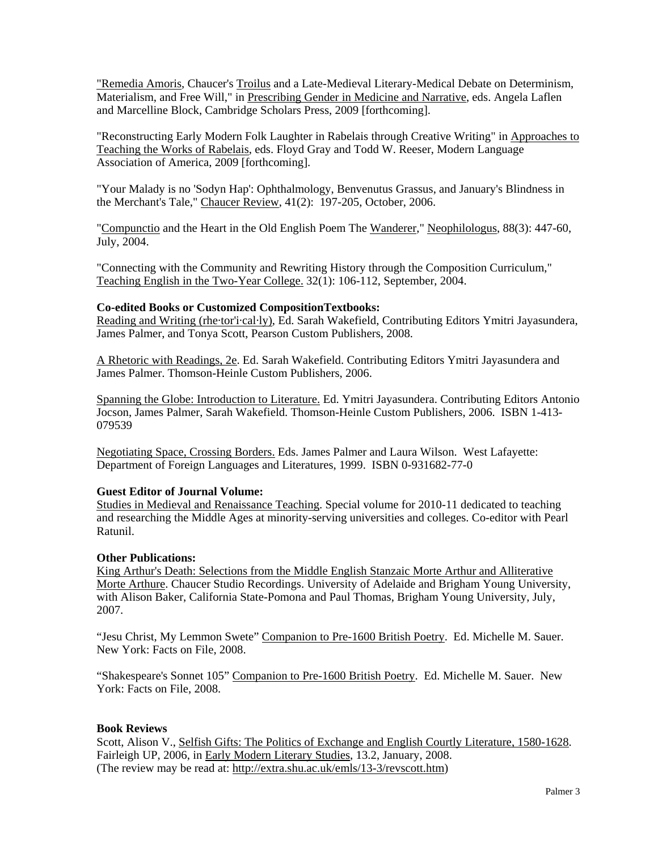"Remedia Amoris, Chaucer's Troilus and a Late-Medieval Literary-Medical Debate on Determinism, Materialism, and Free Will," in Prescribing Gender in Medicine and Narrative, eds. Angela Laflen and Marcelline Block, Cambridge Scholars Press, 2009 [forthcoming].

"Reconstructing Early Modern Folk Laughter in Rabelais through Creative Writing" in Approaches to Teaching the Works of Rabelais, eds. Floyd Gray and Todd W. Reeser, Modern Language Association of America, 2009 [forthcoming].

"Your Malady is no 'Sodyn Hap': Ophthalmology, Benvenutus Grassus, and January's Blindness in the Merchant's Tale," Chaucer Review, 41(2): 197-205, October, 2006.

"Compunctio and the Heart in the Old English Poem The Wanderer," Neophilologus, 88(3): 447-60, July, 2004.

"Connecting with the Community and Rewriting History through the Composition Curriculum," Teaching English in the Two-Year College. 32(1): 106-112, September, 2004.

#### **Co-edited Books or Customized CompositionTextbooks:**

Reading and Writing (rhe·tor'i·cal·ly), Ed. Sarah Wakefield, Contributing Editors Ymitri Jayasundera, James Palmer, and Tonya Scott, Pearson Custom Publishers, 2008.

A Rhetoric with Readings, 2e. Ed. Sarah Wakefield. Contributing Editors Ymitri Jayasundera and James Palmer. Thomson-Heinle Custom Publishers, 2006.

Spanning the Globe: Introduction to Literature. Ed. Ymitri Jayasundera. Contributing Editors Antonio Jocson, James Palmer, Sarah Wakefield. Thomson-Heinle Custom Publishers, 2006. ISBN 1-413- 079539

Negotiating Space, Crossing Borders. Eds. James Palmer and Laura Wilson. West Lafayette: Department of Foreign Languages and Literatures, 1999. ISBN 0-931682-77-0

## **Guest Editor of Journal Volume:**

Studies in Medieval and Renaissance Teaching. Special volume for 2010-11 dedicated to teaching and researching the Middle Ages at minority-serving universities and colleges. Co-editor with Pearl Ratunil.

#### **Other Publications:**

King Arthur's Death: Selections from the Middle English Stanzaic Morte Arthur and Alliterative Morte Arthure. Chaucer Studio Recordings. University of Adelaide and Brigham Young University, with Alison Baker, California State-Pomona and Paul Thomas, Brigham Young University, July, 2007.

"Jesu Christ, My Lemmon Swete" Companion to Pre-1600 British Poetry. Ed. Michelle M. Sauer. New York: Facts on File, 2008.

"Shakespeare's Sonnet 105" Companion to Pre-1600 British Poetry. Ed. Michelle M. Sauer. New York: Facts on File, 2008.

#### **Book Reviews**

Scott, Alison V., Selfish Gifts: The Politics of Exchange and English Courtly Literature, 1580-1628. Fairleigh UP, 2006, in Early Modern Literary Studies, 13.2, January, 2008. (The review may be read at: [http://extra.shu.ac.uk/emls/13-3/revscott.htm\)](http://extra.shu.ac.uk/emls/13-3/revscott.htm)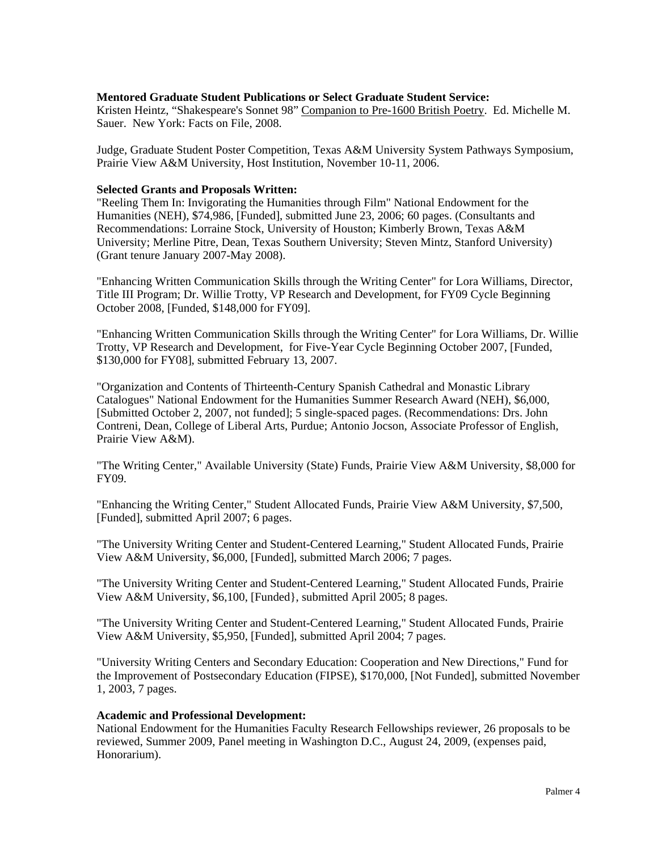## **Mentored Graduate Student Publications or Select Graduate Student Service:**

Kristen Heintz, "Shakespeare's Sonnet 98" Companion to Pre-1600 British Poetry. Ed. Michelle M. Sauer. New York: Facts on File, 2008.

Judge, Graduate Student Poster Competition, Texas A&M University System Pathways Symposium, Prairie View A&M University, Host Institution, November 10-11, 2006.

#### **Selected Grants and Proposals Written:**

"Reeling Them In: Invigorating the Humanities through Film" National Endowment for the Humanities (NEH), \$74,986, [Funded], submitted June 23, 2006; 60 pages. (Consultants and Recommendations: Lorraine Stock, University of Houston; Kimberly Brown, Texas A&M University; Merline Pitre, Dean, Texas Southern University; Steven Mintz, Stanford University) (Grant tenure January 2007-May 2008).

"Enhancing Written Communication Skills through the Writing Center" for Lora Williams, Director, Title III Program; Dr. Willie Trotty, VP Research and Development, for FY09 Cycle Beginning October 2008, [Funded, \$148,000 for FY09].

"Enhancing Written Communication Skills through the Writing Center" for Lora Williams, Dr. Willie Trotty, VP Research and Development, for Five-Year Cycle Beginning October 2007, [Funded, \$130,000 for FY08], submitted February 13, 2007.

"Organization and Contents of Thirteenth-Century Spanish Cathedral and Monastic Library Catalogues" National Endowment for the Humanities Summer Research Award (NEH), \$6,000, [Submitted October 2, 2007, not funded]; 5 single-spaced pages. (Recommendations: Drs. John Contreni, Dean, College of Liberal Arts, Purdue; Antonio Jocson, Associate Professor of English, Prairie View A&M).

"The Writing Center," Available University (State) Funds, Prairie View A&M University, \$8,000 for FY09.

"Enhancing the Writing Center," Student Allocated Funds, Prairie View A&M University, \$7,500, [Funded], submitted April 2007; 6 pages.

"The University Writing Center and Student-Centered Learning," Student Allocated Funds, Prairie View A&M University, \$6,000, [Funded], submitted March 2006; 7 pages.

"The University Writing Center and Student-Centered Learning," Student Allocated Funds, Prairie View A&M University, \$6,100, [Funded}, submitted April 2005; 8 pages.

"The University Writing Center and Student-Centered Learning," Student Allocated Funds, Prairie View A&M University, \$5,950, [Funded], submitted April 2004; 7 pages.

"University Writing Centers and Secondary Education: Cooperation and New Directions," Fund for the Improvement of Postsecondary Education (FIPSE), \$170,000, [Not Funded], submitted November 1, 2003, 7 pages.

#### **Academic and Professional Development:**

National Endowment for the Humanities Faculty Research Fellowships reviewer, 26 proposals to be reviewed, Summer 2009, Panel meeting in Washington D.C., August 24, 2009, (expenses paid, Honorarium).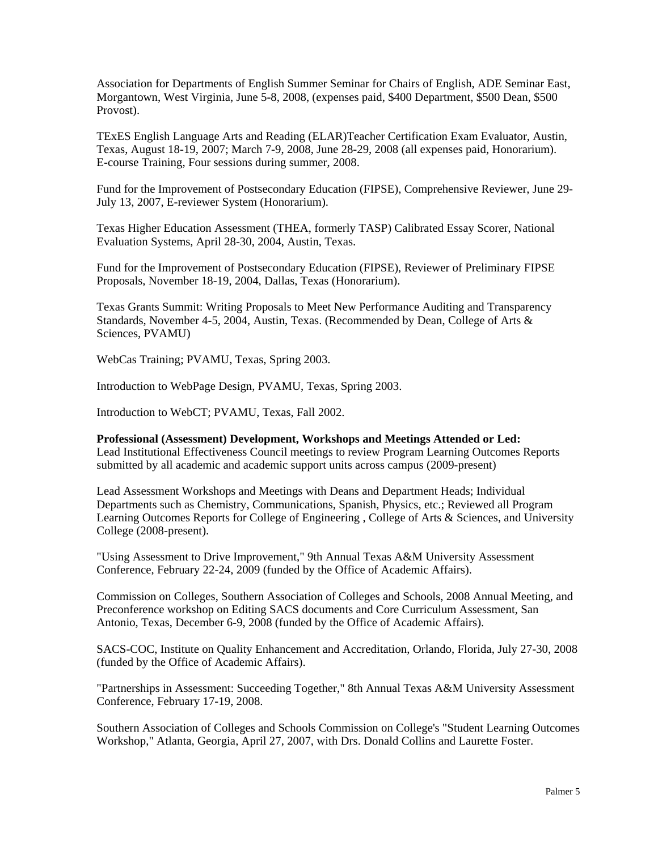Association for Departments of English Summer Seminar for Chairs of English, ADE Seminar East, Morgantown, West Virginia, June 5-8, 2008, (expenses paid, \$400 Department, \$500 Dean, \$500 Provost).

TExES English Language Arts and Reading (ELAR)Teacher Certification Exam Evaluator, Austin, Texas, August 18-19, 2007; March 7-9, 2008, June 28-29, 2008 (all expenses paid, Honorarium). E-course Training, Four sessions during summer, 2008.

Fund for the Improvement of Postsecondary Education (FIPSE), Comprehensive Reviewer, June 29- July 13, 2007, E-reviewer System (Honorarium).

Texas Higher Education Assessment (THEA, formerly TASP) Calibrated Essay Scorer, National Evaluation Systems, April 28-30, 2004, Austin, Texas.

Fund for the Improvement of Postsecondary Education (FIPSE), Reviewer of Preliminary FIPSE Proposals, November 18-19, 2004, Dallas, Texas (Honorarium).

Texas Grants Summit: Writing Proposals to Meet New Performance Auditing and Transparency Standards, November 4-5, 2004, Austin, Texas. (Recommended by Dean, College of Arts & Sciences, PVAMU)

WebCas Training; PVAMU, Texas, Spring 2003.

Introduction to WebPage Design, PVAMU, Texas, Spring 2003.

Introduction to WebCT; PVAMU, Texas, Fall 2002.

**Professional (Assessment) Development, Workshops and Meetings Attended or Led:**  Lead Institutional Effectiveness Council meetings to review Program Learning Outcomes Reports submitted by all academic and academic support units across campus (2009-present)

Lead Assessment Workshops and Meetings with Deans and Department Heads; Individual Departments such as Chemistry, Communications, Spanish, Physics, etc.; Reviewed all Program Learning Outcomes Reports for College of Engineering , College of Arts & Sciences, and University College (2008-present).

"Using Assessment to Drive Improvement," 9th Annual Texas A&M University Assessment Conference, February 22-24, 2009 (funded by the Office of Academic Affairs).

Commission on Colleges, Southern Association of Colleges and Schools, 2008 Annual Meeting, and Preconference workshop on Editing SACS documents and Core Curriculum Assessment, San Antonio, Texas, December 6-9, 2008 (funded by the Office of Academic Affairs).

SACS-COC, Institute on Quality Enhancement and Accreditation, Orlando, Florida, July 27-30, 2008 (funded by the Office of Academic Affairs).

"Partnerships in Assessment: Succeeding Together," 8th Annual Texas A&M University Assessment Conference, February 17-19, 2008.

Southern Association of Colleges and Schools Commission on College's "Student Learning Outcomes Workshop," Atlanta, Georgia, April 27, 2007, with Drs. Donald Collins and Laurette Foster.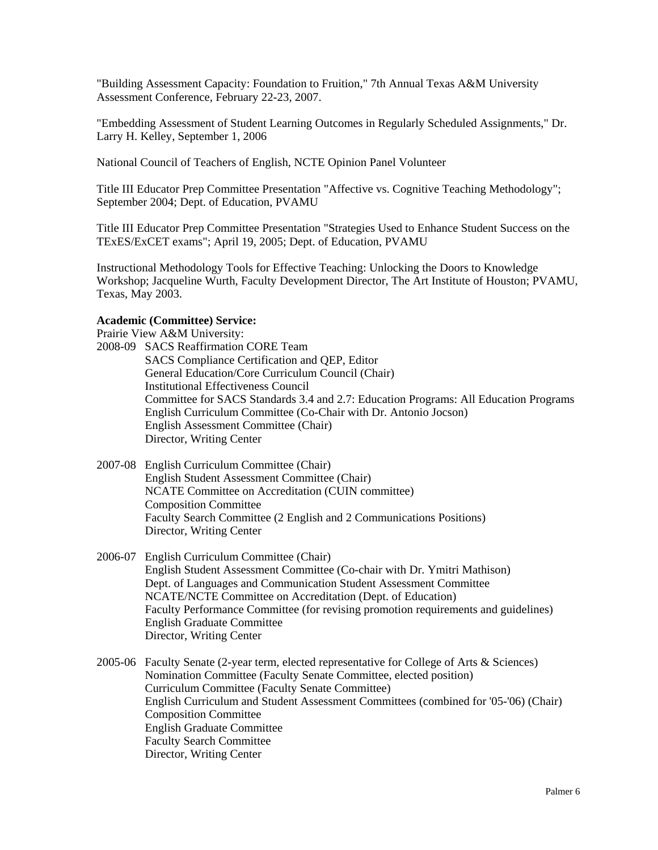"Building Assessment Capacity: Foundation to Fruition," 7th Annual Texas A&M University Assessment Conference, February 22-23, 2007.

"Embedding Assessment of Student Learning Outcomes in Regularly Scheduled Assignments," Dr. Larry H. Kelley, September 1, 2006

National Council of Teachers of English, NCTE Opinion Panel Volunteer

Title III Educator Prep Committee Presentation "Affective vs. Cognitive Teaching Methodology"; September 2004; Dept. of Education, PVAMU

Title III Educator Prep Committee Presentation "Strategies Used to Enhance Student Success on the TExES/ExCET exams"; April 19, 2005; Dept. of Education, PVAMU

Instructional Methodology Tools for Effective Teaching: Unlocking the Doors to Knowledge Workshop; Jacqueline Wurth, Faculty Development Director, The Art Institute of Houston; PVAMU, Texas, May 2003.

#### **Academic (Committee) Service:**

Prairie View A&M University:

2008-09 SACS Reaffirmation CORE Team SACS Compliance Certification and QEP, Editor General Education/Core Curriculum Council (Chair) Institutional Effectiveness Council Committee for SACS Standards 3.4 and 2.7: Education Programs: All Education Programs English Curriculum Committee (Co-Chair with Dr. Antonio Jocson) English Assessment Committee (Chair) Director, Writing Center

- 2007-08 English Curriculum Committee (Chair) English Student Assessment Committee (Chair) NCATE Committee on Accreditation (CUIN committee) Composition Committee Faculty Search Committee (2 English and 2 Communications Positions) Director, Writing Center
- 2006-07 English Curriculum Committee (Chair) English Student Assessment Committee (Co-chair with Dr. Ymitri Mathison) Dept. of Languages and Communication Student Assessment Committee NCATE/NCTE Committee on Accreditation (Dept. of Education) Faculty Performance Committee (for revising promotion requirements and guidelines) English Graduate Committee Director, Writing Center
- 2005-06 Faculty Senate (2-year term, elected representative for College of Arts & Sciences) Nomination Committee (Faculty Senate Committee, elected position) Curriculum Committee (Faculty Senate Committee) English Curriculum and Student Assessment Committees (combined for '05-'06) (Chair) Composition Committee English Graduate Committee Faculty Search Committee Director, Writing Center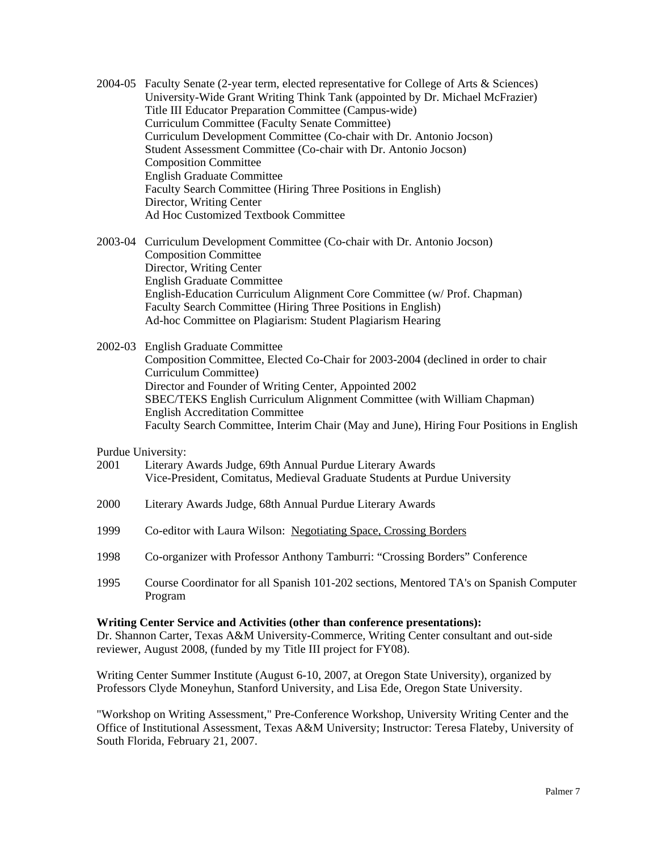2004-05 Faculty Senate (2-year term, elected representative for College of Arts & Sciences) University-Wide Grant Writing Think Tank (appointed by Dr. Michael McFrazier) Title III Educator Preparation Committee (Campus-wide) Curriculum Committee (Faculty Senate Committee) Curriculum Development Committee (Co-chair with Dr. Antonio Jocson) Student Assessment Committee (Co-chair with Dr. Antonio Jocson) Composition Committee English Graduate Committee Faculty Search Committee (Hiring Three Positions in English) Director, Writing Center Ad Hoc Customized Textbook Committee

2003-04 Curriculum Development Committee (Co-chair with Dr. Antonio Jocson) Composition Committee Director, Writing Center English Graduate Committee English-Education Curriculum Alignment Core Committee (w/ Prof. Chapman) Faculty Search Committee (Hiring Three Positions in English) Ad-hoc Committee on Plagiarism: Student Plagiarism Hearing

2002-03 English Graduate Committee Composition Committee, Elected Co-Chair for 2003-2004 (declined in order to chair Curriculum Committee) Director and Founder of Writing Center, Appointed 2002 SBEC/TEKS English Curriculum Alignment Committee (with William Chapman) English Accreditation Committee Faculty Search Committee, Interim Chair (May and June), Hiring Four Positions in English

Purdue University:

- 2001 Literary Awards Judge, 69th Annual Purdue Literary Awards Vice-President, Comitatus, Medieval Graduate Students at Purdue University
- 2000 Literary Awards Judge, 68th Annual Purdue Literary Awards
- 1999 Co-editor with Laura Wilson: Negotiating Space, Crossing Borders
- 1998 Co-organizer with Professor Anthony Tamburri: "Crossing Borders" Conference
- 1995 Course Coordinator for all Spanish 101-202 sections, Mentored TA's on Spanish Computer Program

#### **Writing Center Service and Activities (other than conference presentations):**

Dr. Shannon Carter, Texas A&M University-Commerce, Writing Center consultant and out-side reviewer, August 2008, (funded by my Title III project for FY08).

Writing Center Summer Institute (August 6-10, 2007, at Oregon State University), organized by Professors Clyde Moneyhun, Stanford University, and Lisa Ede, Oregon State University.

"Workshop on Writing Assessment," Pre-Conference Workshop, University Writing Center and the Office of Institutional Assessment, Texas A&M University; Instructor: Teresa Flateby, University of South Florida, February 21, 2007.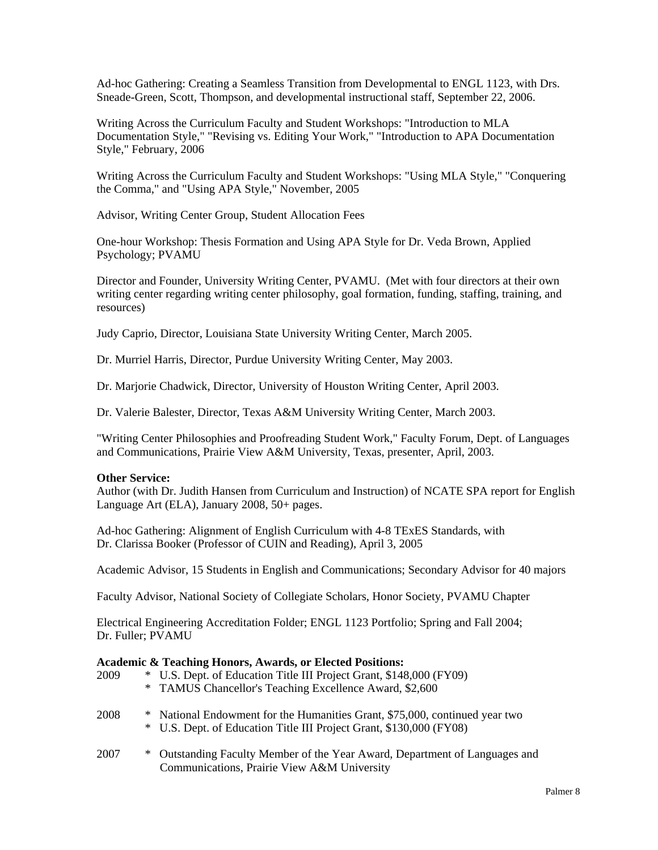Ad-hoc Gathering: Creating a Seamless Transition from Developmental to ENGL 1123, with Drs. Sneade-Green, Scott, Thompson, and developmental instructional staff, September 22, 2006.

Writing Across the Curriculum Faculty and Student Workshops: "Introduction to MLA Documentation Style," "Revising vs. Editing Your Work," "Introduction to APA Documentation Style," February, 2006

Writing Across the Curriculum Faculty and Student Workshops: "Using MLA Style," "Conquering the Comma," and "Using APA Style," November, 2005

Advisor, Writing Center Group, Student Allocation Fees

One-hour Workshop: Thesis Formation and Using APA Style for Dr. Veda Brown, Applied Psychology; PVAMU

Director and Founder, University Writing Center, PVAMU. (Met with four directors at their own writing center regarding writing center philosophy, goal formation, funding, staffing, training, and resources)

Judy Caprio, Director, Louisiana State University Writing Center, March 2005.

Dr. Murriel Harris, Director, Purdue University Writing Center, May 2003.

Dr. Marjorie Chadwick, Director, University of Houston Writing Center, April 2003.

Dr. Valerie Balester, Director, Texas A&M University Writing Center, March 2003.

"Writing Center Philosophies and Proofreading Student Work," Faculty Forum, Dept. of Languages and Communications, Prairie View A&M University, Texas, presenter, April, 2003.

#### **Other Service:**

Author (with Dr. Judith Hansen from Curriculum and Instruction) of NCATE SPA report for English Language Art (ELA), January 2008, 50+ pages.

Ad-hoc Gathering: Alignment of English Curriculum with 4-8 TExES Standards, with Dr. Clarissa Booker (Professor of CUIN and Reading), April 3, 2005

Academic Advisor, 15 Students in English and Communications; Secondary Advisor for 40 majors

Faculty Advisor, National Society of Collegiate Scholars, Honor Society, PVAMU Chapter

Electrical Engineering Accreditation Folder; ENGL 1123 Portfolio; Spring and Fall 2004; Dr. Fuller; PVAMU

#### **Academic & Teaching Honors, Awards, or Elected Positions:**

| 2009 |        | * U.S. Dept. of Education Title III Project Grant, \$148,000 (FY09)<br>* TAMUS Chancellor's Teaching Excellence Award, \$2,600                   |
|------|--------|--------------------------------------------------------------------------------------------------------------------------------------------------|
| 2008 | $\ast$ | National Endowment for the Humanities Grant, \$75,000, continued year two<br>* U.S. Dept. of Education Title III Project Grant, \$130,000 (FY08) |
| 2007 | $\ast$ | Outstanding Faculty Member of the Year Award, Department of Languages and<br>Communications, Prairie View A&M University                         |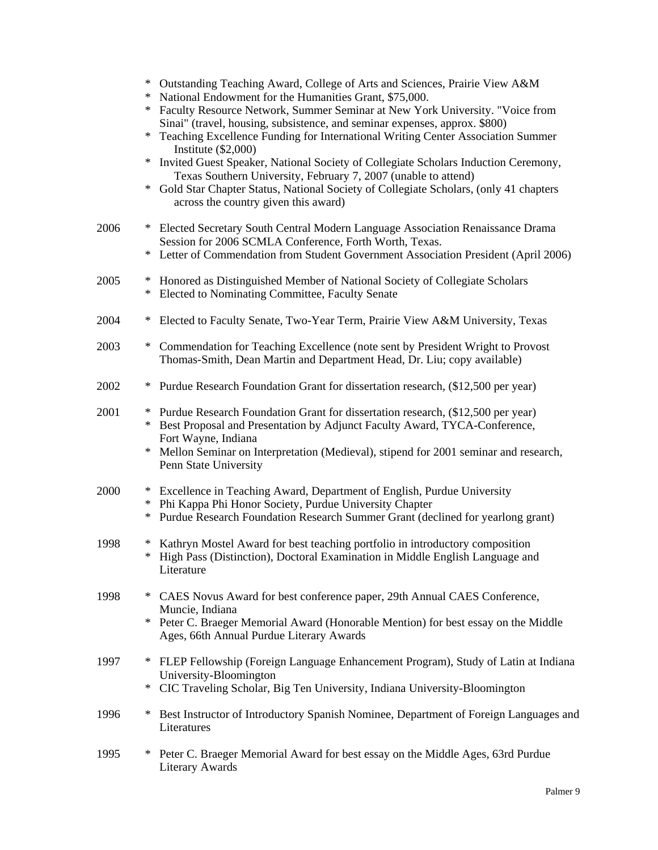|      | $\ast$<br>$\ast$<br>$\ast$<br>$\ast$<br>$\ast$<br>∗ | Outstanding Teaching Award, College of Arts and Sciences, Prairie View A&M<br>National Endowment for the Humanities Grant, \$75,000.<br>Faculty Resource Network, Summer Seminar at New York University. "Voice from<br>Sinai" (travel, housing, subsistence, and seminar expenses, approx. \$800)<br>Teaching Excellence Funding for International Writing Center Association Summer<br>Institute $(\$2,000)$<br>Invited Guest Speaker, National Society of Collegiate Scholars Induction Ceremony,<br>Texas Southern University, February 7, 2007 (unable to attend)<br>Gold Star Chapter Status, National Society of Collegiate Scholars, (only 41 chapters<br>across the country given this award) |
|------|-----------------------------------------------------|--------------------------------------------------------------------------------------------------------------------------------------------------------------------------------------------------------------------------------------------------------------------------------------------------------------------------------------------------------------------------------------------------------------------------------------------------------------------------------------------------------------------------------------------------------------------------------------------------------------------------------------------------------------------------------------------------------|
| 2006 | ∗<br>$\ast$                                         | Elected Secretary South Central Modern Language Association Renaissance Drama<br>Session for 2006 SCMLA Conference, Forth Worth, Texas.<br>Letter of Commendation from Student Government Association President (April 2006)                                                                                                                                                                                                                                                                                                                                                                                                                                                                           |
| 2005 | ∗<br>∗                                              | Honored as Distinguished Member of National Society of Collegiate Scholars<br>Elected to Nominating Committee, Faculty Senate                                                                                                                                                                                                                                                                                                                                                                                                                                                                                                                                                                          |
| 2004 | ∗                                                   | Elected to Faculty Senate, Two-Year Term, Prairie View A&M University, Texas                                                                                                                                                                                                                                                                                                                                                                                                                                                                                                                                                                                                                           |
| 2003 | $\ast$                                              | Commendation for Teaching Excellence (note sent by President Wright to Provost<br>Thomas-Smith, Dean Martin and Department Head, Dr. Liu; copy available)                                                                                                                                                                                                                                                                                                                                                                                                                                                                                                                                              |
| 2002 | ∗                                                   | Purdue Research Foundation Grant for dissertation research, (\$12,500 per year)                                                                                                                                                                                                                                                                                                                                                                                                                                                                                                                                                                                                                        |
| 2001 | ∗<br>$\ast$<br>∗                                    | Purdue Research Foundation Grant for dissertation research, (\$12,500 per year)<br>Best Proposal and Presentation by Adjunct Faculty Award, TYCA-Conference,<br>Fort Wayne, Indiana<br>Mellon Seminar on Interpretation (Medieval), stipend for 2001 seminar and research,<br>Penn State University                                                                                                                                                                                                                                                                                                                                                                                                    |
| 2000 | $\ast$<br>$\ast$<br>$\ast$                          | Excellence in Teaching Award, Department of English, Purdue University<br>Phi Kappa Phi Honor Society, Purdue University Chapter<br>Purdue Research Foundation Research Summer Grant (declined for yearlong grant)                                                                                                                                                                                                                                                                                                                                                                                                                                                                                     |
| 1998 | $\ast$                                              | Kathryn Mostel Award for best teaching portfolio in introductory composition<br>High Pass (Distinction), Doctoral Examination in Middle English Language and<br>Literature                                                                                                                                                                                                                                                                                                                                                                                                                                                                                                                             |
| 1998 | ∗<br>∗                                              | CAES Novus Award for best conference paper, 29th Annual CAES Conference,<br>Muncie, Indiana<br>Peter C. Braeger Memorial Award (Honorable Mention) for best essay on the Middle<br>Ages, 66th Annual Purdue Literary Awards                                                                                                                                                                                                                                                                                                                                                                                                                                                                            |
| 1997 | ∗<br>$\ast$                                         | FLEP Fellowship (Foreign Language Enhancement Program), Study of Latin at Indiana<br>University-Bloomington<br>CIC Traveling Scholar, Big Ten University, Indiana University-Bloomington                                                                                                                                                                                                                                                                                                                                                                                                                                                                                                               |
| 1996 | ∗                                                   | Best Instructor of Introductory Spanish Nominee, Department of Foreign Languages and<br>Literatures                                                                                                                                                                                                                                                                                                                                                                                                                                                                                                                                                                                                    |
| 1995 | $\ast$                                              | Peter C. Braeger Memorial Award for best essay on the Middle Ages, 63rd Purdue<br><b>Literary Awards</b>                                                                                                                                                                                                                                                                                                                                                                                                                                                                                                                                                                                               |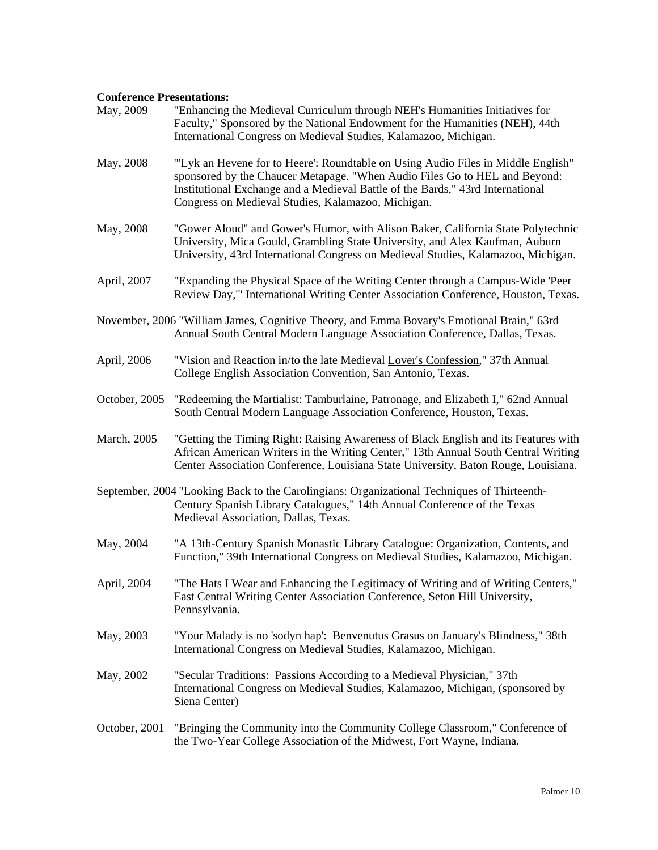## **Conference Presentations:**

| May, 2009     | "Enhancing the Medieval Curriculum through NEH's Humanities Initiatives for<br>Faculty," Sponsored by the National Endowment for the Humanities (NEH), 44th<br>International Congress on Medieval Studies, Kalamazoo, Michigan.                                                                        |
|---------------|--------------------------------------------------------------------------------------------------------------------------------------------------------------------------------------------------------------------------------------------------------------------------------------------------------|
| May, 2008     | "Lyk an Hevene for to Heere': Roundtable on Using Audio Files in Middle English"<br>sponsored by the Chaucer Metapage. "When Audio Files Go to HEL and Beyond:<br>Institutional Exchange and a Medieval Battle of the Bards," 43rd International<br>Congress on Medieval Studies, Kalamazoo, Michigan. |
| May, 2008     | "Gower Aloud" and Gower's Humor, with Alison Baker, California State Polytechnic<br>University, Mica Gould, Grambling State University, and Alex Kaufman, Auburn<br>University, 43rd International Congress on Medieval Studies, Kalamazoo, Michigan.                                                  |
| April, 2007   | "Expanding the Physical Space of the Writing Center through a Campus-Wide 'Peer<br>Review Day," International Writing Center Association Conference, Houston, Texas.                                                                                                                                   |
|               | November, 2006 "William James, Cognitive Theory, and Emma Bovary's Emotional Brain," 63rd<br>Annual South Central Modern Language Association Conference, Dallas, Texas.                                                                                                                               |
| April, 2006   | "Vision and Reaction in/to the late Medieval Lover's Confession," 37th Annual<br>College English Association Convention, San Antonio, Texas.                                                                                                                                                           |
| October, 2005 | "Redeeming the Martialist: Tamburlaine, Patronage, and Elizabeth I," 62nd Annual<br>South Central Modern Language Association Conference, Houston, Texas.                                                                                                                                              |
| March, 2005   | "Getting the Timing Right: Raising Awareness of Black English and its Features with<br>African American Writers in the Writing Center," 13th Annual South Central Writing<br>Center Association Conference, Louisiana State University, Baton Rouge, Louisiana.                                        |
|               | September, 2004 "Looking Back to the Carolingians: Organizational Techniques of Thirteenth-<br>Century Spanish Library Catalogues," 14th Annual Conference of the Texas<br>Medieval Association, Dallas, Texas.                                                                                        |
| May, 2004     | "A 13th-Century Spanish Monastic Library Catalogue: Organization, Contents, and<br>Function," 39th International Congress on Medieval Studies, Kalamazoo, Michigan.                                                                                                                                    |
| April, 2004   | "The Hats I Wear and Enhancing the Legitimacy of Writing and of Writing Centers,"<br>East Central Writing Center Association Conference, Seton Hill University,<br>Pennsylvania.                                                                                                                       |
| May, 2003     | "Your Malady is no 'sodyn hap': Benvenutus Grasus on January's Blindness," 38th<br>International Congress on Medieval Studies, Kalamazoo, Michigan.                                                                                                                                                    |
| May, 2002     | "Secular Traditions: Passions According to a Medieval Physician," 37th<br>International Congress on Medieval Studies, Kalamazoo, Michigan, (sponsored by<br>Siena Center)                                                                                                                              |
| October, 2001 | "Bringing the Community into the Community College Classroom," Conference of<br>the Two-Year College Association of the Midwest, Fort Wayne, Indiana.                                                                                                                                                  |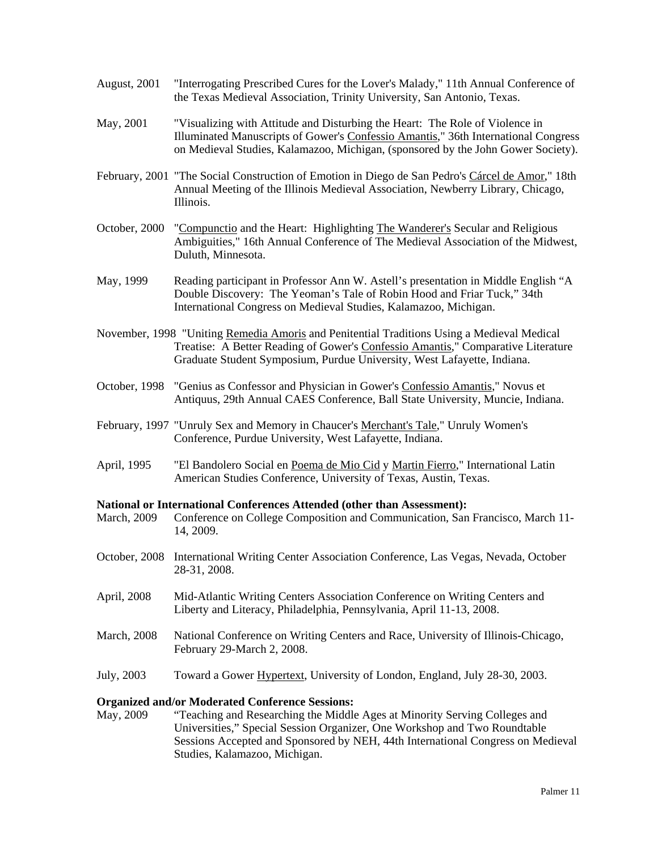- August, 2001 "Interrogating Prescribed Cures for the Lover's Malady," 11th Annual Conference of the Texas Medieval Association, Trinity University, San Antonio, Texas.
- May, 2001 "Visualizing with Attitude and Disturbing the Heart: The Role of Violence in Illuminated Manuscripts of Gower's Confessio Amantis," 36th International Congress on Medieval Studies, Kalamazoo, Michigan, (sponsored by the John Gower Society).
- February, 2001 "The Social Construction of Emotion in Diego de San Pedro's Cárcel de Amor," 18th Annual Meeting of the Illinois Medieval Association, Newberry Library, Chicago, Illinois.
- October, 2000 "Compunctio and the Heart: Highlighting The Wanderer's Secular and Religious Ambiguities," 16th Annual Conference of The Medieval Association of the Midwest, Duluth, Minnesota.
- May, 1999 Reading participant in Professor Ann W. Astell's presentation in Middle English "A Double Discovery: The Yeoman's Tale of Robin Hood and Friar Tuck," 34th International Congress on Medieval Studies, Kalamazoo, Michigan.
- November, 1998 "Uniting Remedia Amoris and Penitential Traditions Using a Medieval Medical Treatise: A Better Reading of Gower's Confessio Amantis," Comparative Literature Graduate Student Symposium, Purdue University, West Lafayette, Indiana.
- October, 1998 "Genius as Confessor and Physician in Gower's Confessio Amantis," Novus et Antiquus, 29th Annual CAES Conference, Ball State University, Muncie, Indiana.
- February, 1997 "Unruly Sex and Memory in Chaucer's Merchant's Tale," Unruly Women's Conference, Purdue University, West Lafayette, Indiana.
- April, 1995 "El Bandolero Social en Poema de Mio Cid y Martin Fierro," International Latin American Studies Conference, University of Texas, Austin, Texas.

#### **National or International Conferences Attended (other than Assessment):**

- March, 2009 Conference on College Composition and Communication, San Francisco, March 11- 14, 2009.
- October, 2008 International Writing Center Association Conference, Las Vegas, Nevada, October 28-31, 2008.
- April, 2008 Mid-Atlantic Writing Centers Association Conference on Writing Centers and Liberty and Literacy, Philadelphia, Pennsylvania, April 11-13, 2008.
- March, 2008 National Conference on Writing Centers and Race, University of Illinois-Chicago, February 29-March 2, 2008.
- July, 2003 Toward a Gower Hypertext, University of London, England, July 28-30, 2003.

## **Organized and/or Moderated Conference Sessions:**

May, 2009 "Teaching and Researching the Middle Ages at Minority Serving Colleges and Universities," Special Session Organizer, One Workshop and Two Roundtable Sessions Accepted and Sponsored by NEH, 44th International Congress on Medieval Studies, Kalamazoo, Michigan.